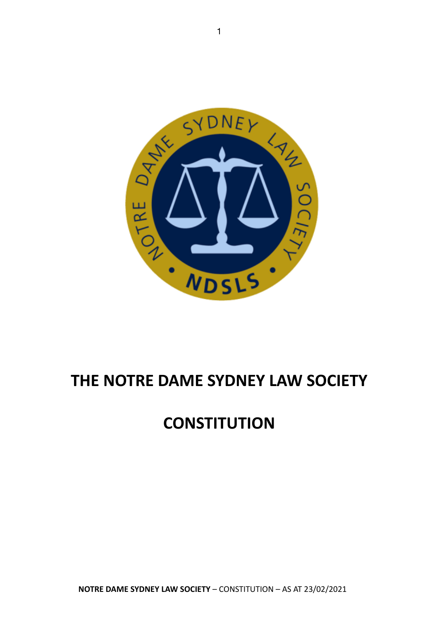

## **THE NOTRE DAME SYDNEY LAW SOCIETY**

# **CONSTITUTION**

**NOTRE DAME SYDNEY LAW SOCIETY** – CONSTITUTION – AS AT 23/02/2021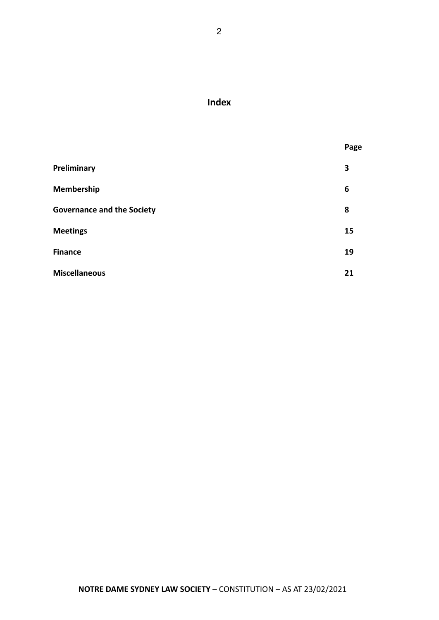### **Index**

|                                   | Page |
|-----------------------------------|------|
| Preliminary                       | 3    |
| <b>Membership</b>                 | 6    |
| <b>Governance and the Society</b> | 8    |
| <b>Meetings</b>                   | 15   |
| <b>Finance</b>                    | 19   |
| <b>Miscellaneous</b>              | 21   |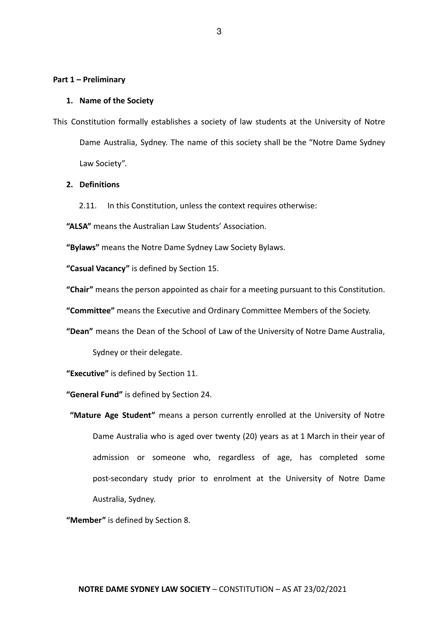#### **Part 1 – Preliminary**

#### **1. Name of the Society**

This Constitution formally establishes a society of law students at the University of Notre Dame Australia, Sydney. The name of this society shall be the "Notre Dame Sydney Law Society".

#### **2. Definitions**

2.11. In this Constitution, unless the context requires otherwise:

**"ALSA"** means the Australian Law Students' Association.

**"Bylaws"** means the Notre Dame Sydney Law Society Bylaws.

**"Casual Vacancy"** is defined by Section 15.

**"Chair"** means the person appointed as chair for a meeting pursuant to this Constitution.

**"Committee"** means the Executive and Ordinary Committee Members of the Society.

**"Dean"** means the Dean of the School of Law of the University of Notre Dame Australia,

Sydney or their delegate.

**"Executive"** is defined by Section 11.

**"General Fund"** is defined by Section 24.

**"Mature Age Student"** means a person currently enrolled at the University of Notre Dame Australia who is aged over twenty (20) years as at 1 March in their year of admission or someone who, regardless of age, has completed some post-secondary study prior to enrolment at the University of Notre Dame Australia, Sydney.

**"Member"** is defined by Section 8.

3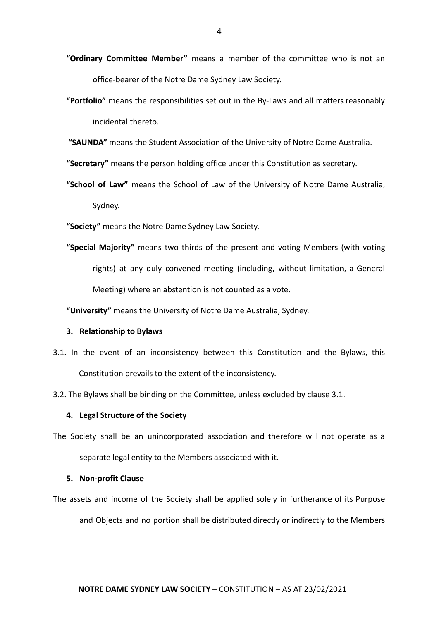- **"Ordinary Committee Member"** means a member of the committee who is not an office-bearer of the Notre Dame Sydney Law Society.
- **"Portfolio"** means the responsibilities set out in the By-Laws and all matters reasonably incidental thereto.
- **"SAUNDA"** means the Student Association of the University of Notre Dame Australia.

**"Secretary"** means the person holding office under this Constitution as secretary.

**"School of Law"** means the School of Law of the University of Notre Dame Australia, Sydney.

**"Society"** means the Notre Dame Sydney Law Society.

**"Special Majority"** means two thirds of the present and voting Members (with voting rights) at any duly convened meeting (including, without limitation, a General Meeting) where an abstention is not counted as a vote.

**"University"** means the University of Notre Dame Australia, Sydney.

#### **3. Relationship to Bylaws**

- 3.1. In the event of an inconsistency between this Constitution and the Bylaws, this Constitution prevails to the extent of the inconsistency.
- 3.2. The Bylaws shall be binding on the Committee, unless excluded by clause 3.1.

#### **4. Legal Structure of the Society**

The Society shall be an unincorporated association and therefore will not operate as a separate legal entity to the Members associated with it.

#### **5. Non-profit Clause**

The assets and income of the Society shall be applied solely in furtherance of its Purpose and Objects and no portion shall be distributed directly or indirectly to the Members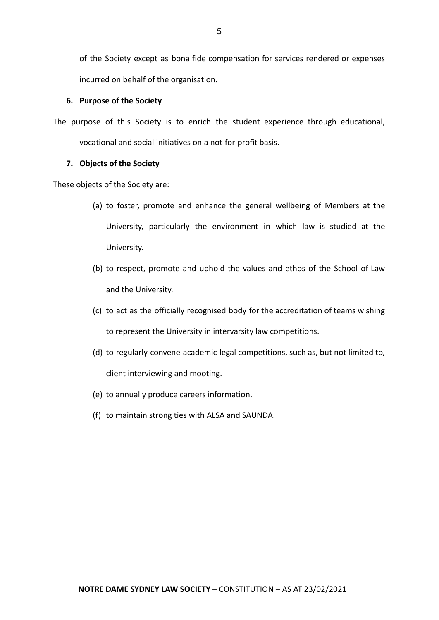of the Society except as bona fide compensation for services rendered or expenses incurred on behalf of the organisation.

#### **6. Purpose of the Society**

The purpose of this Society is to enrich the student experience through educational, vocational and social initiatives on a not-for-profit basis.

#### **7. Objects of the Society**

These objects of the Society are:

- (a) to foster, promote and enhance the general wellbeing of Members at the University, particularly the environment in which law is studied at the University.
- (b) to respect, promote and uphold the values and ethos of the School of Law and the University.
- (c) to act as the officially recognised body for the accreditation of teams wishing to represent the University in intervarsity law competitions.
- (d) to regularly convene academic legal competitions, such as, but not limited to, client interviewing and mooting.
- (e) to annually produce careers information.
- (f) to maintain strong ties with ALSA and SAUNDA.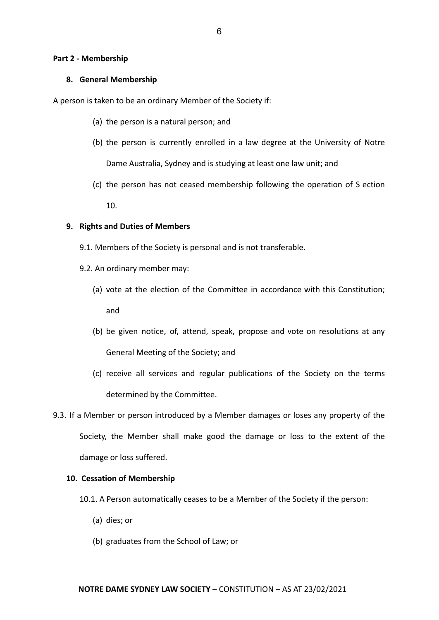#### **Part 2 - Membership**

#### **8. General Membership**

A person is taken to be an ordinary Member of the Society if:

- (a) the person is a natural person; and
- (b) the person is currently enrolled in a law degree at the University of Notre Dame Australia, Sydney and is studying at least one law unit; and
- (c) the person has not ceased membership following the operation of S ection

10.

#### **9. Rights and Duties of Members**

- 9.1. Members of the Society is personal and is not transferable.
- 9.2. An ordinary member may:
	- (a) vote at the election of the Committee in accordance with this Constitution; and
	- (b) be given notice, of, attend, speak, propose and vote on resolutions at any General Meeting of the Society; and
	- (c) receive all services and regular publications of the Society on the terms determined by the Committee.
- 9.3. If a Member or person introduced by a Member damages or loses any property of the Society, the Member shall make good the damage or loss to the extent of the damage or loss suffered.

#### **10. Cessation of Membership**

- 10.1. A Person automatically ceases to be a Member of the Society if the person:
	- (a) dies; or
	- (b) graduates from the School of Law; or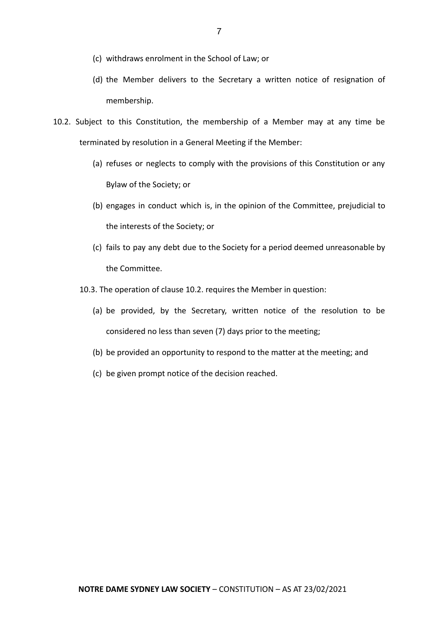- (c) withdraws enrolment in the School of Law; or
- (d) the Member delivers to the Secretary a written notice of resignation of membership.
- 10.2. Subject to this Constitution, the membership of a Member may at any time be terminated by resolution in a General Meeting if the Member:
	- (a) refuses or neglects to comply with the provisions of this Constitution or any Bylaw of the Society; or
	- (b) engages in conduct which is, in the opinion of the Committee, prejudicial to the interests of the Society; or
	- (c) fails to pay any debt due to the Society for a period deemed unreasonable by the Committee.
	- 10.3. The operation of clause 10.2. requires the Member in question:
		- (a) be provided, by the Secretary, written notice of the resolution to be considered no less than seven (7) days prior to the meeting;
		- (b) be provided an opportunity to respond to the matter at the meeting; and
		- (c) be given prompt notice of the decision reached.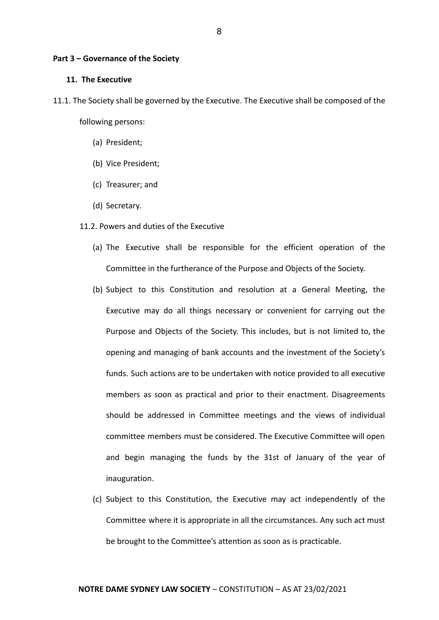#### **Part 3 – Governance of the Society**

#### **11. The Executive**

- 11.1. The Society shall be governed by the Executive. The Executive shall be composed of the following persons:
	- (a) President;
	- (b) Vice President;
	- (c) Treasurer; and
	- (d) Secretary.

#### 11.2. Powers and duties of the Executive

- (a) The Executive shall be responsible for the efficient operation of the Committee in the furtherance of the Purpose and Objects of the Society.
- (b) Subject to this Constitution and resolution at a General Meeting, the Executive may do all things necessary or convenient for carrying out the Purpose and Objects of the Society. This includes, but is not limited to, the opening and managing of bank accounts and the investment of the Society's funds. Such actions are to be undertaken with notice provided to all executive members as soon as practical and prior to their enactment. Disagreements should be addressed in Committee meetings and the views of individual committee members must be considered. The Executive Committee will open and begin managing the funds by the 31st of January of the year of inauguration.
- (c) Subject to this Constitution, the Executive may act independently of the Committee where it is appropriate in all the circumstances. Any such act must be brought to the Committee's attention as soon as is practicable.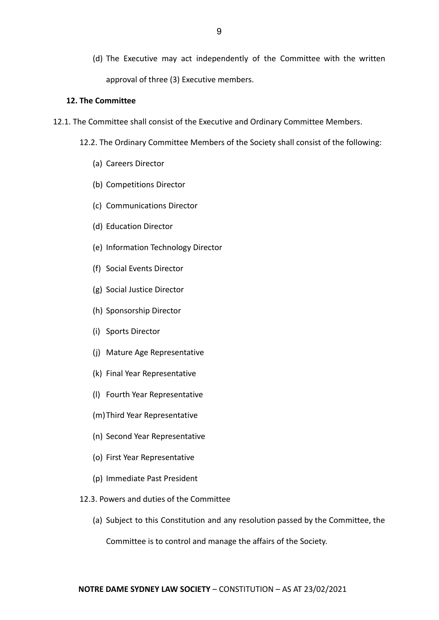(d) The Executive may act independently of the Committee with the written approval of three (3) Executive members.

#### **12. The Committee**

- 12.1. The Committee shall consist of the Executive and Ordinary Committee Members.
	- 12.2. The Ordinary Committee Members of the Society shall consist of the following:
		- (a) Careers Director
		- (b) Competitions Director
		- (c) Communications Director
		- (d) Education Director
		- (e) Information Technology Director
		- (f) Social Events Director
		- (g) Social Justice Director
		- (h) Sponsorship Director
		- (i) Sports Director
		- (j) Mature Age Representative
		- (k) Final Year Representative
		- (l) Fourth Year Representative
		- (m)Third Year Representative
		- (n) Second Year Representative
		- (o) First Year Representative
		- (p) Immediate Past President
	- 12.3. Powers and duties of the Committee
		- (a) Subject to this Constitution and any resolution passed by the Committee, the

Committee is to control and manage the affairs of the Society.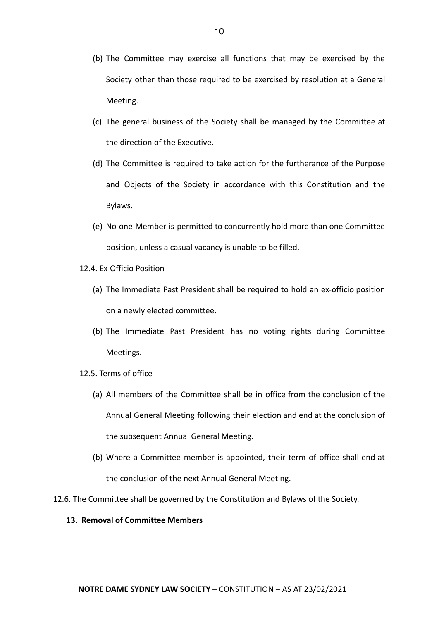- (b) The Committee may exercise all functions that may be exercised by the Society other than those required to be exercised by resolution at a General Meeting.
- (c) The general business of the Society shall be managed by the Committee at the direction of the Executive.
- (d) The Committee is required to take action for the furtherance of the Purpose and Objects of the Society in accordance with this Constitution and the Bylaws.
- (e) No one Member is permitted to concurrently hold more than one Committee position, unless a casual vacancy is unable to be filled.
- 12.4. Ex-Officio Position
	- (a) The Immediate Past President shall be required to hold an ex-officio position on a newly elected committee.
	- (b) The Immediate Past President has no voting rights during Committee Meetings.
- 12.5. Terms of office
	- (a) All members of the Committee shall be in office from the conclusion of the Annual General Meeting following their election and end at the conclusion of the subsequent Annual General Meeting.
	- (b) Where a Committee member is appointed, their term of office shall end at the conclusion of the next Annual General Meeting.
- 12.6. The Committee shall be governed by the Constitution and Bylaws of the Society.

#### **13. Removal of Committee Members**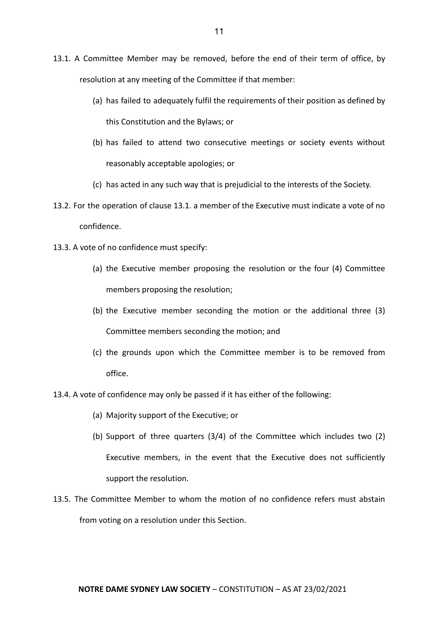- 13.1. A Committee Member may be removed, before the end of their term of office, by resolution at any meeting of the Committee if that member:
	- (a) has failed to adequately fulfil the requirements of their position as defined by this Constitution and the Bylaws; or
	- (b) has failed to attend two consecutive meetings or society events without reasonably acceptable apologies; or
	- (c) has acted in any such way that is prejudicial to the interests of the Society.
- 13.2. For the operation of clause 13.1. a member of the Executive must indicate a vote of no confidence.
- 13.3. A vote of no confidence must specify:
	- (a) the Executive member proposing the resolution or the four (4) Committee members proposing the resolution;
	- (b) the Executive member seconding the motion or the additional three (3) Committee members seconding the motion; and
	- (c) the grounds upon which the Committee member is to be removed from office.
- 13.4. A vote of confidence may only be passed if it has either of the following:
	- (a) Majority support of the Executive; or
	- (b) Support of three quarters (3/4) of the Committee which includes two (2) Executive members, in the event that the Executive does not sufficiently support the resolution.
- 13.5. The Committee Member to whom the motion of no confidence refers must abstain from voting on a resolution under this Section.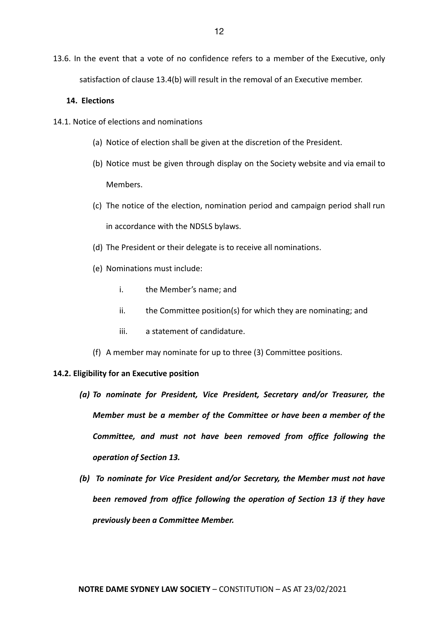13.6. In the event that a vote of no confidence refers to a member of the Executive, only satisfaction of clause 13.4(b) will result in the removal of an Executive member.

#### **14. Elections**

- 14.1. Notice of elections and nominations
	- (a) Notice of election shall be given at the discretion of the President.
	- (b) Notice must be given through display on the Society website and via email to Members.
	- (c) The notice of the election, nomination period and campaign period shall run in accordance with the NDSLS bylaws.
	- (d) The President or their delegate is to receive all nominations.
	- (e) Nominations must include:
		- i. the Member's name; and
		- ii. the Committee position(s) for which they are nominating; and
		- iii. a statement of candidature.
	- (f) A member may nominate for up to three (3) Committee positions.

#### **14.2. Eligibility for an Executive position**

- *(a) To nominate for President, Vice President, Secretary and/or Treasurer, the Member must be a member of the Committee or have been a member of the Committee, and must not have been removed from office following the operation of Section 13.*
- *(b) To nominate for Vice President and/or Secretary, the Member must not have been removed from office following the operation of Section 13 if they have previously been a Committee Member.*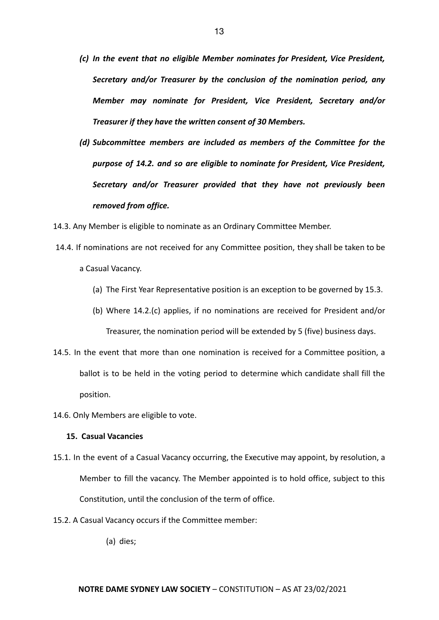- *(c) In the event that no eligible Member nominates for President, Vice President, Secretary and/or Treasurer by the conclusion of the nomination period, any Member may nominate for President, Vice President, Secretary and/or Treasurer if they have the written consent of 30 Members.*
- *(d) Subcommittee members are included as members of the Committee for the purpose of 14.2. and so are eligible to nominate for President, Vice President, Secretary and/or Treasurer provided that they have not previously been removed from office.*

14.3. Any Member is eligible to nominate as an Ordinary Committee Member.

- 14.4. If nominations are not received for any Committee position, they shall be taken to be a Casual Vacancy.
	- (a) The First Year Representative position is an exception to be governed by 15.3.
	- (b) Where 14.2.(c) applies, if no nominations are received for President and/or Treasurer, the nomination period will be extended by 5 (five) business days.
- 14.5. In the event that more than one nomination is received for a Committee position, a ballot is to be held in the voting period to determine which candidate shall fill the position.
- 14.6. Only Members are eligible to vote.

#### **15. Casual Vacancies**

- 15.1. In the event of a Casual Vacancy occurring, the Executive may appoint, by resolution, a Member to fill the vacancy. The Member appointed is to hold office, subject to this Constitution, until the conclusion of the term of office.
- 15.2. A Casual Vacancy occurs if the Committee member:

(a) dies;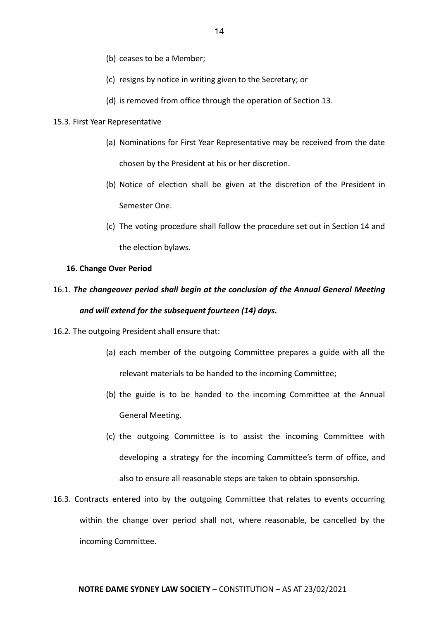- (b) ceases to be a Member;
- (c) resigns by notice in writing given to the Secretary; or
- (d) is removed from office through the operation of Section 13.

#### 15.3. First Year Representative

- (a) Nominations for First Year Representative may be received from the date chosen by the President at his or her discretion.
- (b) Notice of election shall be given at the discretion of the President in Semester One.
- (c) The voting procedure shall follow the procedure set out in Section 14 and the election bylaws.

#### **16. Change Over Period**

### 16.1. *The changeover period shall begin at the conclusion of the Annual General Meeting and will extend for the subsequent fourteen (14) days.*

- 16.2. The outgoing President shall ensure that:
	- (a) each member of the outgoing Committee prepares a guide with all the relevant materials to be handed to the incoming Committee;
	- (b) the guide is to be handed to the incoming Committee at the Annual General Meeting.
	- (c) the outgoing Committee is to assist the incoming Committee with developing a strategy for the incoming Committee's term of office, and also to ensure all reasonable steps are taken to obtain sponsorship.
- 16.3. Contracts entered into by the outgoing Committee that relates to events occurring within the change over period shall not, where reasonable, be cancelled by the incoming Committee.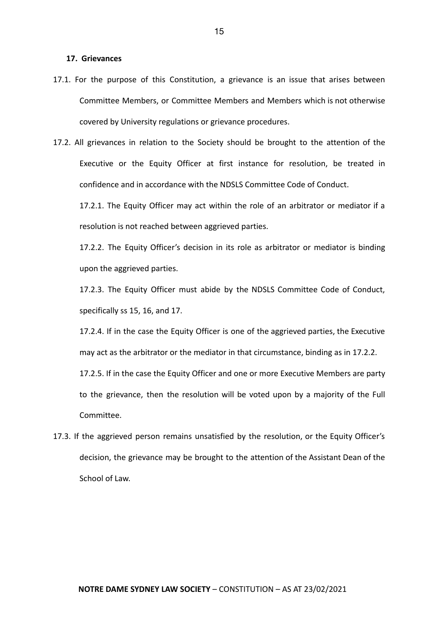#### **17. Grievances**

- 17.1. For the purpose of this Constitution, a grievance is an issue that arises between Committee Members, or Committee Members and Members which is not otherwise covered by University regulations or grievance procedures.
- 17.2. All grievances in relation to the Society should be brought to the attention of the Executive or the Equity Officer at first instance for resolution, be treated in confidence and in accordance with the NDSLS Committee Code of Conduct.

17.2.1. The Equity Officer may act within the role of an arbitrator or mediator if a resolution is not reached between aggrieved parties.

17.2.2. The Equity Officer's decision in its role as arbitrator or mediator is binding upon the aggrieved parties.

17.2.3. The Equity Officer must abide by the NDSLS Committee Code of Conduct, specifically ss 15, 16, and 17.

17.2.4. If in the case the Equity Officer is one of the aggrieved parties, the Executive may act as the arbitrator or the mediator in that circumstance, binding as in 17.2.2.

17.2.5. If in the case the Equity Officer and one or more Executive Members are party to the grievance, then the resolution will be voted upon by a majority of the Full Committee.

17.3. If the aggrieved person remains unsatisfied by the resolution, or the Equity Officer's decision, the grievance may be brought to the attention of the Assistant Dean of the School of Law.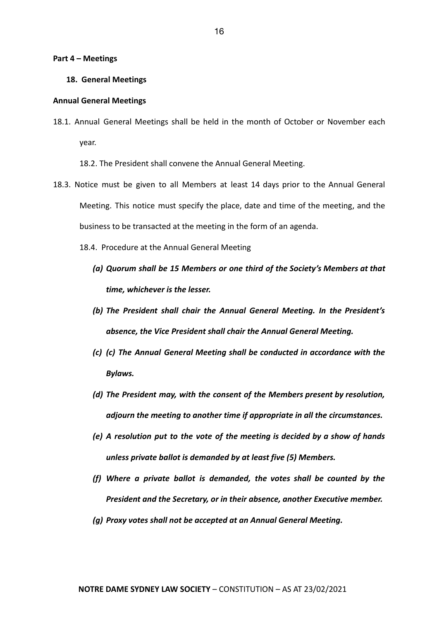#### **Part 4 – Meetings**

#### **18. General Meetings**

#### **Annual General Meetings**

18.1. Annual General Meetings shall be held in the month of October or November each year.

18.2. The President shall convene the Annual General Meeting.

- 18.3. Notice must be given to all Members at least 14 days prior to the Annual General Meeting. This notice must specify the place, date and time of the meeting, and the business to be transacted at the meeting in the form of an agenda.
	- 18.4. Procedure at the Annual General Meeting
		- *(a) Quorum shall be 15 Members or one third of the Society's Members at that time, whichever is the lesser.*
		- *(b) The President shall chair the Annual General Meeting. In the President's absence, the Vice President shall chair the Annual General Meeting.*
		- *(c) (c) The Annual General Meeting shall be conducted in accordance with the Bylaws.*
		- *(d) The President may, with the consent of the Members present by resolution, adjourn the meeting to another time if appropriate in all the circumstances.*
		- *(e) A resolution put to the vote of the meeting is decided by a show of hands unless private ballot is demanded by at least five (5) Members.*
		- *(f) Where a private ballot is demanded, the votes shall be counted by the President and the Secretary, or in their absence, another Executive member.*
		- *(g) Proxy votes shall not be accepted at an Annual General Meeting.*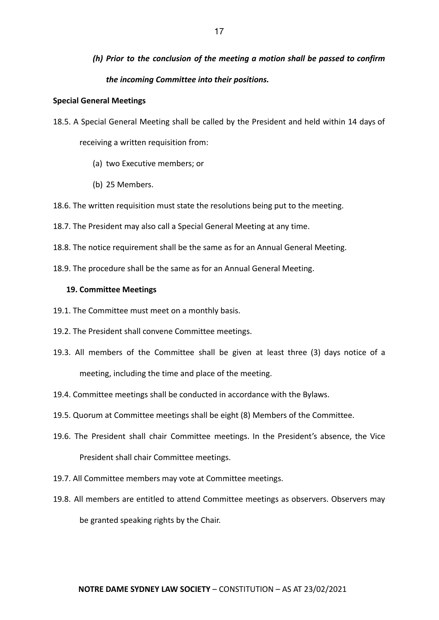## *(h) Prior to the conclusion of the meeting a motion shall be passed to confirm the incoming Committee into their positions.*

#### **Special General Meetings**

- 18.5. A Special General Meeting shall be called by the President and held within 14 days of receiving a written requisition from:
	- (a) two Executive members; or
	- (b) 25 Members.
- 18.6. The written requisition must state the resolutions being put to the meeting.
- 18.7. The President may also call a Special General Meeting at any time.
- 18.8. The notice requirement shall be the same as for an Annual General Meeting.
- 18.9. The procedure shall be the same as for an Annual General Meeting.

#### **19. Committee Meetings**

- 19.1. The Committee must meet on a monthly basis.
- 19.2. The President shall convene Committee meetings.
- 19.3. All members of the Committee shall be given at least three (3) days notice of a meeting, including the time and place of the meeting.
- 19.4. Committee meetings shall be conducted in accordance with the Bylaws.
- 19.5. Quorum at Committee meetings shall be eight (8) Members of the Committee.
- 19.6. The President shall chair Committee meetings. In the President's absence, the Vice President shall chair Committee meetings.
- 19.7. All Committee members may vote at Committee meetings.
- 19.8. All members are entitled to attend Committee meetings as observers. Observers may be granted speaking rights by the Chair.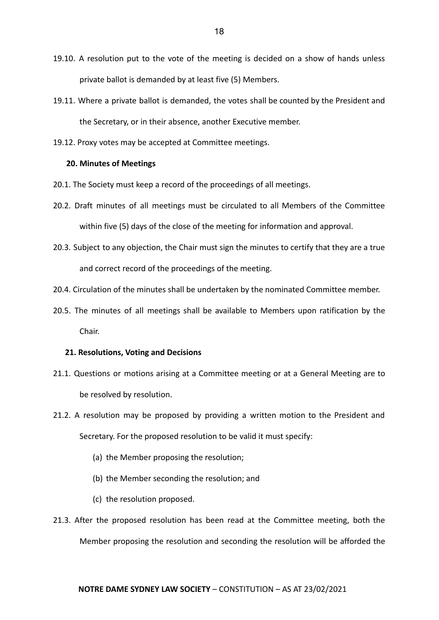- 19.10. A resolution put to the vote of the meeting is decided on a show of hands unless private ballot is demanded by at least five (5) Members.
- 19.11. Where a private ballot is demanded, the votes shall be counted by the President and the Secretary, or in their absence, another Executive member.
- 19.12. Proxy votes may be accepted at Committee meetings.

#### **20. Minutes of Meetings**

- 20.1. The Society must keep a record of the proceedings of all meetings.
- 20.2. Draft minutes of all meetings must be circulated to all Members of the Committee within five (5) days of the close of the meeting for information and approval.
- 20.3. Subject to any objection, the Chair must sign the minutes to certify that they are a true and correct record of the proceedings of the meeting.
- 20.4. Circulation of the minutes shall be undertaken by the nominated Committee member.
- 20.5. The minutes of all meetings shall be available to Members upon ratification by the Chair.

#### **21. Resolutions, Voting and Decisions**

- 21.1. Questions or motions arising at a Committee meeting or at a General Meeting are to be resolved by resolution.
- 21.2. A resolution may be proposed by providing a written motion to the President and Secretary. For the proposed resolution to be valid it must specify:
	- (a) the Member proposing the resolution;
	- (b) the Member seconding the resolution; and
	- (c) the resolution proposed.
- 21.3. After the proposed resolution has been read at the Committee meeting, both the Member proposing the resolution and seconding the resolution will be afforded the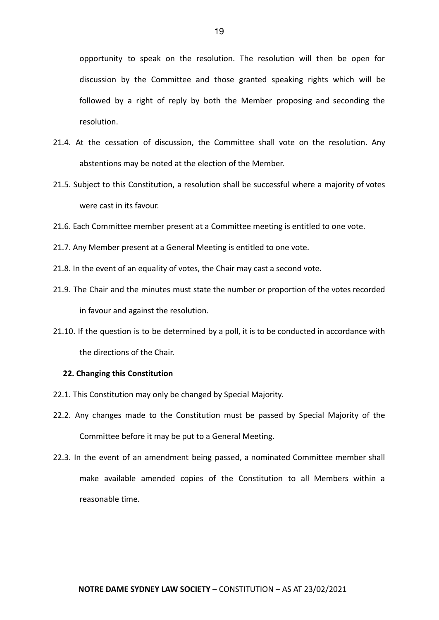opportunity to speak on the resolution. The resolution will then be open for discussion by the Committee and those granted speaking rights which will be followed by a right of reply by both the Member proposing and seconding the resolution.

- 21.4. At the cessation of discussion, the Committee shall vote on the resolution. Any abstentions may be noted at the election of the Member.
- 21.5. Subject to this Constitution, a resolution shall be successful where a majority of votes were cast in its favour.
- 21.6. Each Committee member present at a Committee meeting is entitled to one vote.
- 21.7. Any Member present at a General Meeting is entitled to one vote.
- 21.8. In the event of an equality of votes, the Chair may cast a second vote.
- 21.9. The Chair and the minutes must state the number or proportion of the votes recorded in favour and against the resolution.
- 21.10. If the question is to be determined by a poll, it is to be conducted in accordance with the directions of the Chair.

#### **22. Changing this Constitution**

- 22.1. This Constitution may only be changed by Special Majority.
- 22.2. Any changes made to the Constitution must be passed by Special Majority of the Committee before it may be put to a General Meeting.
- 22.3. In the event of an amendment being passed, a nominated Committee member shall make available amended copies of the Constitution to all Members within a reasonable time.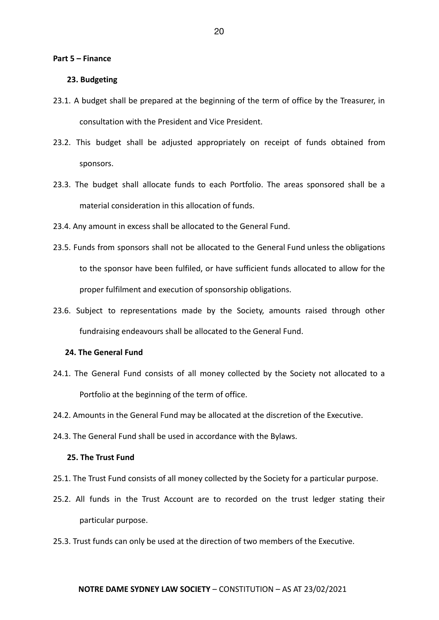#### **Part 5 – Finance**

#### **23. Budgeting**

- 23.1. A budget shall be prepared at the beginning of the term of office by the Treasurer, in consultation with the President and Vice President.
- 23.2. This budget shall be adjusted appropriately on receipt of funds obtained from sponsors.
- 23.3. The budget shall allocate funds to each Portfolio. The areas sponsored shall be a material consideration in this allocation of funds.
- 23.4. Any amount in excess shall be allocated to the General Fund.
- 23.5. Funds from sponsors shall not be allocated to the General Fund unless the obligations to the sponsor have been fulfiled, or have sufficient funds allocated to allow for the proper fulfilment and execution of sponsorship obligations.
- 23.6. Subject to representations made by the Society, amounts raised through other fundraising endeavours shall be allocated to the General Fund.

#### **24. The General Fund**

- 24.1. The General Fund consists of all money collected by the Society not allocated to a Portfolio at the beginning of the term of office.
- 24.2. Amounts in the General Fund may be allocated at the discretion of the Executive.
- 24.3. The General Fund shall be used in accordance with the Bylaws.

#### **25. The Trust Fund**

- 25.1. The Trust Fund consists of all money collected by the Society for a particular purpose.
- 25.2. All funds in the Trust Account are to recorded on the trust ledger stating their particular purpose.
- 25.3. Trust funds can only be used at the direction of two members of the Executive.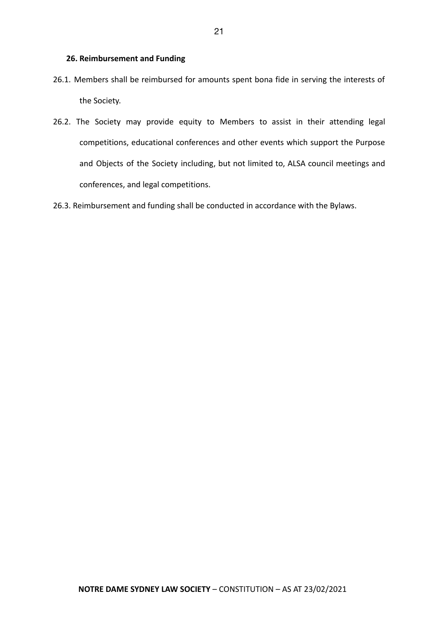- 26.1. Members shall be reimbursed for amounts spent bona fide in serving the interests of the Society.
- 26.2. The Society may provide equity to Members to assist in their attending legal competitions, educational conferences and other events which support the Purpose and Objects of the Society including, but not limited to, ALSA council meetings and conferences, and legal competitions.
- 26.3. Reimbursement and funding shall be conducted in accordance with the Bylaws.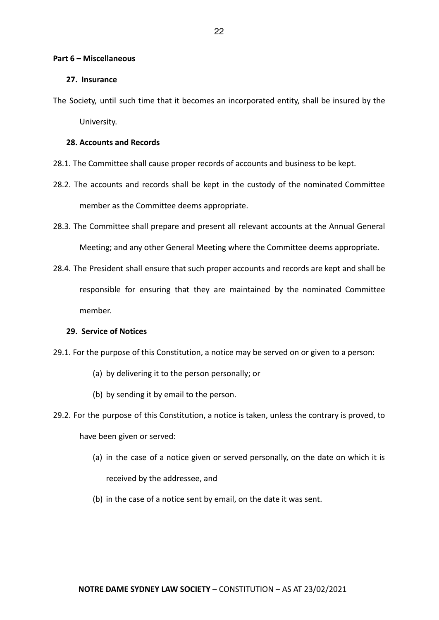#### **Part 6 – Miscellaneous**

#### **27. Insurance**

The Society, until such time that it becomes an incorporated entity, shall be insured by the University.

#### **28. Accounts and Records**

28.1. The Committee shall cause proper records of accounts and business to be kept.

- 28.2. The accounts and records shall be kept in the custody of the nominated Committee member as the Committee deems appropriate.
- 28.3. The Committee shall prepare and present all relevant accounts at the Annual General Meeting; and any other General Meeting where the Committee deems appropriate.
- 28.4. The President shall ensure that such proper accounts and records are kept and shall be responsible for ensuring that they are maintained by the nominated Committee member.

#### **29. Service of Notices**

- 29.1. For the purpose of this Constitution, a notice may be served on or given to a person:
	- (a) by delivering it to the person personally; or
	- (b) by sending it by email to the person.
- 29.2. For the purpose of this Constitution, a notice is taken, unless the contrary is proved, to have been given or served:
	- (a) in the case of a notice given or served personally, on the date on which it is received by the addressee, and
	- (b) in the case of a notice sent by email, on the date it was sent.

#### 22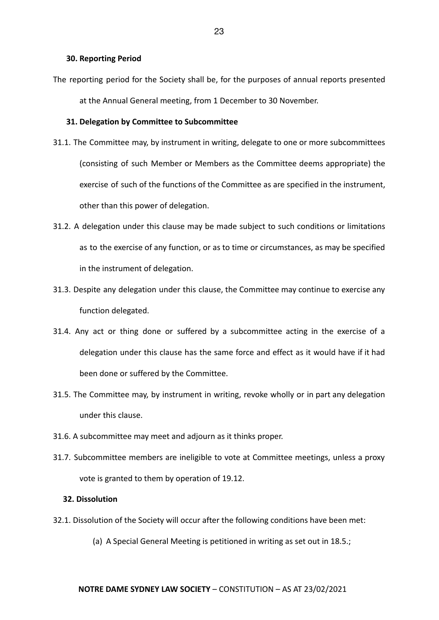#### **30. Reporting Period**

The reporting period for the Society shall be, for the purposes of annual reports presented at the Annual General meeting, from 1 December to 30 November.

#### **31. Delegation by Committee to Subcommittee**

- 31.1. The Committee may, by instrument in writing, delegate to one or more subcommittees (consisting of such Member or Members as the Committee deems appropriate) the exercise of such of the functions of the Committee as are specified in the instrument, other than this power of delegation.
- 31.2. A delegation under this clause may be made subject to such conditions or limitations as to the exercise of any function, or as to time or circumstances, as may be specified in the instrument of delegation.
- 31.3. Despite any delegation under this clause, the Committee may continue to exercise any function delegated.
- 31.4. Any act or thing done or suffered by a subcommittee acting in the exercise of a delegation under this clause has the same force and effect as it would have if it had been done or suffered by the Committee.
- 31.5. The Committee may, by instrument in writing, revoke wholly or in part any delegation under this clause.
- 31.6. A subcommittee may meet and adjourn as it thinks proper.
- 31.7. Subcommittee members are ineligible to vote at Committee meetings, unless a proxy vote is granted to them by operation of 19.12.

#### **32. Dissolution**

- 32.1. Dissolution of the Society will occur after the following conditions have been met:
	- (a) A Special General Meeting is petitioned in writing as set out in 18.5.;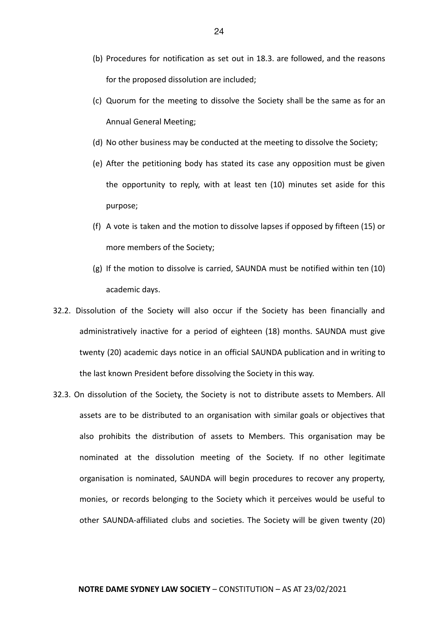- (b) Procedures for notification as set out in 18.3. are followed, and the reasons for the proposed dissolution are included;
- (c) Quorum for the meeting to dissolve the Society shall be the same as for an Annual General Meeting;
- (d) No other business may be conducted at the meeting to dissolve the Society;
- (e) After the petitioning body has stated its case any opposition must be given the opportunity to reply, with at least ten (10) minutes set aside for this purpose;
- (f) A vote is taken and the motion to dissolve lapses if opposed by fifteen (15) or more members of the Society;
- (g) If the motion to dissolve is carried, SAUNDA must be notified within ten (10) academic days.
- 32.2. Dissolution of the Society will also occur if the Society has been financially and administratively inactive for a period of eighteen (18) months. SAUNDA must give twenty (20) academic days notice in an official SAUNDA publication and in writing to the last known President before dissolving the Society in this way.
- 32.3. On dissolution of the Society, the Society is not to distribute assets to Members. All assets are to be distributed to an organisation with similar goals or objectives that also prohibits the distribution of assets to Members. This organisation may be nominated at the dissolution meeting of the Society. If no other legitimate organisation is nominated, SAUNDA will begin procedures to recover any property, monies, or records belonging to the Society which it perceives would be useful to other SAUNDA-affiliated clubs and societies. The Society will be given twenty (20)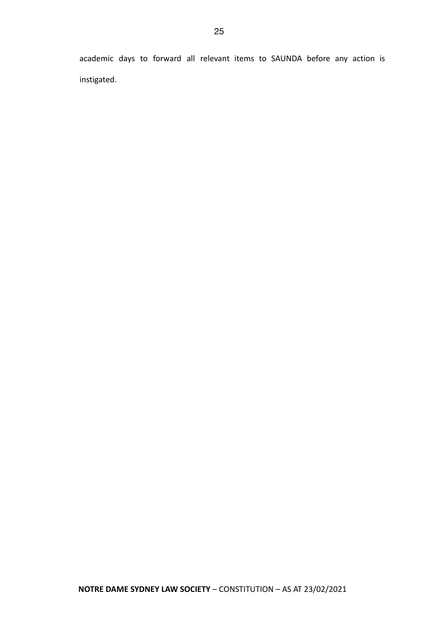academic days to forward all relevant items to SAUNDA before any action is instigated.